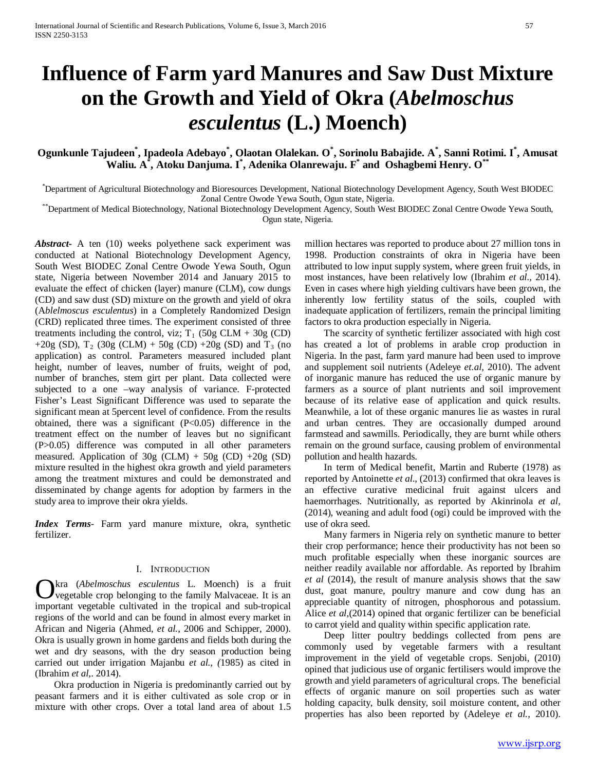# **Influence of Farm yard Manures and Saw Dust Mixture on the Growth and Yield of Okra (***Abelmoschus esculentus* **(L.) Moench)**

# **Ogunkunle Tajudeen\* , Ipadeola Adebayo\* , Olaotan Olalekan. O\* , Sorinolu Babajide. A\* , Sanni Rotimi. I\* , Amusat Waliu. A\* , Atoku Danjuma. I \* , Adenika Olanrewaju. F\* and Oshagbemi Henry. O\*\***

\* Department of Agricultural Biotechnology and Bioresources Development, National Biotechnology Development Agency, South West BIODEC Zonal Centre Owode Yewa South, Ogun state, Nigeria. \*\*Department of Medical Biotechnology, National Biotechnology Development Agency, South West BIODEC Zonal Centre Owode Yewa South,

Ogun state, Nigeria.

*Abstract***-** A ten (10) weeks polyethene sack experiment was conducted at National Biotechnology Development Agency, South West BIODEC Zonal Centre Owode Yewa South, Ogun state, Nigeria between November 2014 and January 2015 to evaluate the effect of chicken (layer) manure (CLM), cow dungs (CD) and saw dust (SD) mixture on the growth and yield of okra (A*blelmoscus esculentus*) in a Completely Randomized Design (CRD) replicated three times. The experiment consisted of three treatments including the control, viz;  $T_1$  (50g CLM + 30g (CD) +20g (SD),  $T_2$  (30g (CLM) + 50g (CD) +20g (SD) and  $T_3$  (no application) as control. Parameters measured included plant height, number of leaves, number of fruits, weight of pod, number of branches, stem girt per plant. Data collected were subjected to a one –way analysis of variance. F-protected Fisher's Least Significant Difference was used to separate the significant mean at 5percent level of confidence. From the results obtained, there was a significant (P<0.05) difference in the treatment effect on the number of leaves but no significant (P>0.05) difference was computed in all other parameters measured. Application of  $30g$  (CLM) +  $50g$  (CD) +20g (SD) mixture resulted in the highest okra growth and yield parameters among the treatment mixtures and could be demonstrated and disseminated by change agents for adoption by farmers in the study area to improve their okra yields.

*Index Terms*- Farm yard manure mixture, okra, synthetic fertilizer.

#### I. INTRODUCTION

kra (*Abelmoschus esculentus* L. Moench) is a fruit vegetable crop belonging to the family Malvaceae. It is an **C** kra (Abelmoschus esculentus L. Moench) is a fruit vegetable crop belonging to the family Malvaceae. It is an important vegetable cultivated in the tropical and sub-tropical regions of the world and can be found in almost every market in African and Nigeria (Ahmed, *et al.*, 2006 and Schipper, 2000). Okra is usually grown in home gardens and fields both during the wet and dry seasons, with the dry season production being carried out under irrigation Majanbu *et al., (*1985) as cited in (Ibrahim *et al*,. 2014).

 Okra production in Nigeria is predominantly carried out by peasant farmers and it is either cultivated as sole crop or in mixture with other crops. Over a total land area of about 1.5 million hectares was reported to produce about 27 million tons in 1998. Production constraints of okra in Nigeria have been attributed to low input supply system, where green fruit yields, in most instances, have been relatively low (Ibrahim *et al.,* 2014). Even in cases where high yielding cultivars have been grown, the inherently low fertility status of the soils, coupled with inadequate application of fertilizers, remain the principal limiting factors to okra production especially in Nigeria.

 The scarcity of synthetic fertilizer associated with high cost has created a lot of problems in arable crop production in Nigeria. In the past, farm yard manure had been used to improve and supplement soil nutrients (Adeleye *et.al,* 2010). The advent of inorganic manure has reduced the use of organic manure by farmers as a source of plant nutrients and soil improvement because of its relative ease of application and quick results. Meanwhile, a lot of these organic manures lie as wastes in rural and urban centres. They are occasionally dumped around farmstead and sawmills. Periodically, they are burnt while others remain on the ground surface, causing problem of environmental pollution and health hazards.

 In term of Medical benefit, Martin and Ruberte (1978) as reported by Antoinette *et al*., (2013) confirmed that okra leaves is an effective curative medicinal fruit against ulcers and haemorrhages. Nutritionally, as reported by Akinrinola *et al,* (2014), weaning and adult food (ogi) could be improved with the use of okra seed.

 Many farmers in Nigeria rely on synthetic manure to better their crop performance; hence their productivity has not been so much profitable especially when these inorganic sources are neither readily available nor affordable. As reported by Ibrahim *et al* (2014), the result of manure analysis shows that the saw dust, goat manure, poultry manure and cow dung has an appreciable quantity of nitrogen, phosphorous and potassium. Alice *et al*,(2014) opined that organic fertilizer can be beneficial to carrot yield and quality within specific application rate.

 Deep litter poultry beddings collected from pens are commonly used by vegetable farmers with a resultant improvement in the yield of vegetable crops. Senjobi, (2010) opined that judicious use of organic fertilisers would improve the growth and yield parameters of agricultural crops. The beneficial effects of organic manure on soil properties such as water holding capacity, bulk density, soil moisture content, and other properties has also been reported by (Adeleye *et al.,* 2010).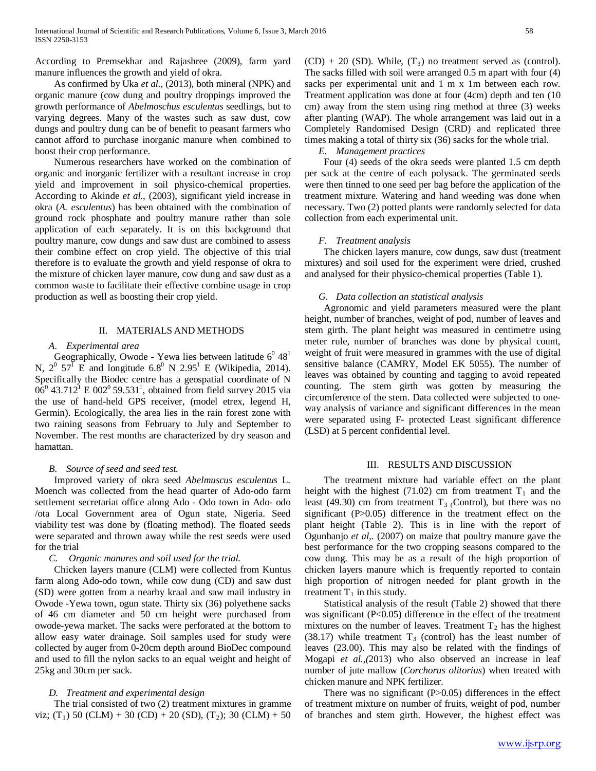According to Premsekhar and Rajashree (2009), farm yard manure influences the growth and yield of okra.

 As confirmed by Uka *et al.,* (2013), both mineral (NPK) and organic manure (cow dung and poultry droppings improved the growth performance of *Abelmoschus esculentus* seedlings, but to varying degrees. Many of the wastes such as saw dust, cow dungs and poultry dung can be of benefit to peasant farmers who cannot afford to purchase inorganic manure when combined to boost their crop performance.

 Numerous researchers have worked on the combination of organic and inorganic fertilizer with a resultant increase in crop yield and improvement in soil physico-chemical properties. According to Akinde *et al.*, (2003), significant yield increase in okra (*A. esculentus*) has been obtained with the combination of ground rock phosphate and poultry manure rather than sole application of each separately. It is on this background that poultry manure, cow dungs and saw dust are combined to assess their combine effect on crop yield. The objective of this trial therefore is to evaluate the growth and yield response of okra to the mixture of chicken layer manure, cow dung and saw dust as a common waste to facilitate their effective combine usage in crop production as well as boosting their crop yield.

#### II. MATERIALS AND METHODS

#### *A. Experimental area*

Geographically, Owode - Yewa lies between latitude  $6^0 48^1$ N,  $2^{\circ}$  57<sup>1</sup> E and longitude 6.8<sup>0</sup> N 2.95<sup>1</sup> E (Wikipedia, 2014). Specifically the Biodec centre has a geospatial coordinate of N  $06^0$  43.712<sup>1</sup> E 002<sup>0</sup> 59.531<sup>1</sup>, obtained from field survey 2015 via the use of hand-held GPS receiver, (model etrex, legend H, Germin). Ecologically, the area lies in the rain forest zone with two raining seasons from February to July and September to November. The rest months are characterized by dry season and hamattan.

## *B. Source of seed and seed test.*

 Improved variety of okra seed *Abelmuscus esculentus* L. Moench was collected from the head quarter of Ado-odo farm settlement secretariat office along Ado - Odo town in Ado- odo /ota Local Government area of Ogun state, Nigeria. Seed viability test was done by (floating method). The floated seeds were separated and thrown away while the rest seeds were used for the trial

# *C. Organic manures and soil used for the trial.*

 Chicken layers manure (CLM) were collected from Kuntus farm along Ado-odo town, while cow dung (CD) and saw dust (SD) were gotten from a nearby kraal and saw mail industry in Owode -Yewa town, ogun state. Thirty six (36) polyethene sacks of 46 cm diameter and 50 cm height were purchased from owode-yewa market. The sacks were perforated at the bottom to allow easy water drainage. Soil samples used for study were collected by auger from 0-20cm depth around BioDec compound and used to fill the nylon sacks to an equal weight and height of 25kg and 30cm per sack.

#### *D. Treatment and experimental design*

 The trial consisted of two (2) treatment mixtures in gramme viz; (T<sub>1</sub>) 50 (CLM) + 30 (CD) + 20 (SD), (T<sub>2</sub>); 30 (CLM) + 50

 $(CD) + 20$  (SD). While,  $(T_3)$  no treatment served as (control). The sacks filled with soil were arranged 0.5 m apart with four (4) sacks per experimental unit and 1 m x 1m between each row. Treatment application was done at four (4cm) depth and ten (10 cm) away from the stem using ring method at three (3) weeks after planting (WAP). The whole arrangement was laid out in a Completely Randomised Design (CRD) and replicated three times making a total of thirty six (36) sacks for the whole trial.

#### *E. Management practices*

 Four (4) seeds of the okra seeds were planted 1.5 cm depth per sack at the centre of each polysack. The germinated seeds were then tinned to one seed per bag before the application of the treatment mixture. Watering and hand weeding was done when necessary. Two (2) potted plants were randomly selected for data collection from each experimental unit.

## *F. Treatment analysis*

 The chicken layers manure, cow dungs, saw dust (treatment mixtures) and soil used for the experiment were dried, crushed and analysed for their physico-chemical properties (Table 1).

#### *G. Data collection an statistical analysis*

 Agronomic and yield parameters measured were the plant height, number of branches, weight of pod, number of leaves and stem girth. The plant height was measured in centimetre using meter rule, number of branches was done by physical count, weight of fruit were measured in grammes with the use of digital sensitive balance (CAMRY, Model EK 5055). The number of leaves was obtained by counting and tagging to avoid repeated counting. The stem girth was gotten by measuring the circumference of the stem. Data collected were subjected to oneway analysis of variance and significant differences in the mean were separated using F- protected Least significant difference (LSD) at 5 percent confidential level.

#### III. RESULTS AND DISCUSSION

 The treatment mixture had variable effect on the plant height with the highest (71.02) cm from treatment  $T_1$  and the least (49.30) cm from treatment  $T_3$  (Control), but there was no significant (P>0.05) difference in the treatment effect on the plant height (Table 2). This is in line with the report of Ogunbanjo *et al,.* (2007) on maize that poultry manure gave the best performance for the two cropping seasons compared to the cow dung. This may be as a result of the high proportion of chicken layers manure which is frequently reported to contain high proportion of nitrogen needed for plant growth in the treatment  $T_1$  in this study.

 Statistical analysis of the result (Table 2) showed that there was significant (P<0.05) difference in the effect of the treatment mixtures on the number of leaves. Treatment  $T_2$  has the highest (38.17) while treatment  $T_3$  (control) has the least number of leaves (23.00). This may also be related with the findings of Mogapi *et al.,(*2013) who also observed an increase in leaf number of jute mallow (*Corchorus olitorius*) when treated with chicken manure and NPK fertilizer.

There was no significant  $(P>0.05)$  differences in the effect of treatment mixture on number of fruits, weight of pod, number of branches and stem girth. However, the highest effect was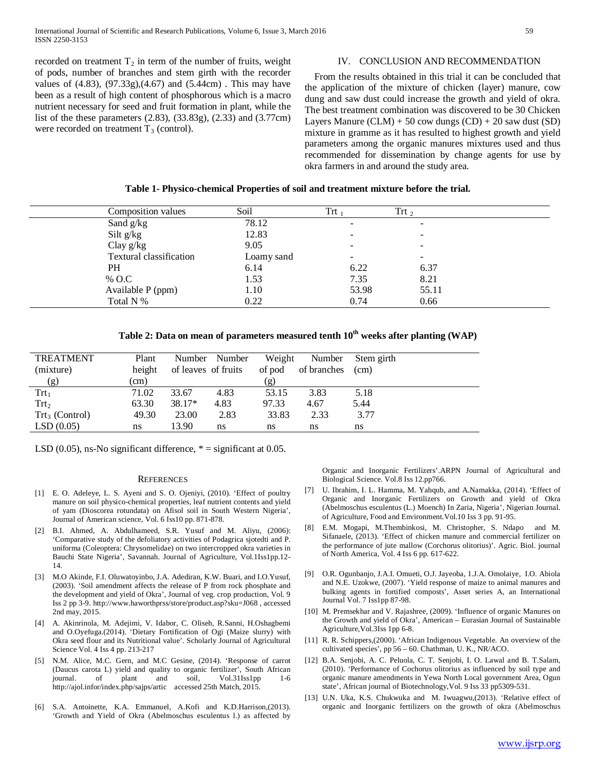recorded on treatment  $T_2$  in term of the number of fruits, weight of pods, number of branches and stem girth with the recorder values of  $(4.83)$ ,  $(97.33g)$ , $(4.67)$  and  $(5.44cm)$ . This may have been as a result of high content of phosphorous which is a macro nutrient necessary for seed and fruit formation in plant, while the list of the these parameters (2.83), (33.83g), (2.33) and (3.77cm) were recorded on treatment  $T_3$  (control).

# IV. CONCLUSION AND RECOMMENDATION

 From the results obtained in this trial it can be concluded that the application of the mixture of chicken (layer) manure, cow dung and saw dust could increase the growth and yield of okra. The best treatment combination was discovered to be 30 Chicken Layers Manure  $(CLM) + 50$  cow dungs  $(CD) + 20$  saw dust  $(SD)$ mixture in gramme as it has resulted to highest growth and yield parameters among the organic manures mixtures used and thus recommended for dissemination by change agents for use by okra farmers in and around the study area.

|  |  | Table 1- Physico-chemical Properties of soil and treatment mixture before the trial. |
|--|--|--------------------------------------------------------------------------------------|
|  |  |                                                                                      |

| Composition values             | Soil       | $\operatorname{Trt}$ , | $\text{Tr}t_{2}$         |  |
|--------------------------------|------------|------------------------|--------------------------|--|
| Sand g/kg                      | 78.12      |                        | $\overline{\phantom{0}}$ |  |
| Silt $g/kg$                    | 12.83      |                        |                          |  |
| Clay $g/kg$                    | 9.05       |                        |                          |  |
| <b>Textural classification</b> | Loamy sand |                        | -                        |  |
| <b>PH</b>                      | 6.14       | 6.22                   | 6.37                     |  |
| % O.C                          | 1.53       | 7.35                   | 8.21                     |  |
| Available P (ppm)              | 1.10       | 53.98                  | 55.11                    |  |
| Total N %                      | 0.22       | 0.74                   | 0.66                     |  |

| Table 2: Data on mean of parameters measured tenth $10^{\rm th}$ weeks after planting (WAP) |  |  |
|---------------------------------------------------------------------------------------------|--|--|
|---------------------------------------------------------------------------------------------|--|--|

| <b>TREATMENT</b>                 | Plant      |                     | Number Number | Weight | Number      | Stem girth |
|----------------------------------|------------|---------------------|---------------|--------|-------------|------------|
| (mixture)                        | height     | of leaves of fruits |               | of pod | of branches | (cm)       |
| (g)                              | $\rm (cm)$ |                     |               | (g)    |             |            |
| $\text{Tr}t_1$                   | 71.02      | 33.67               | 4.83          | 53.15  | 3.83        | 5.18       |
| $\text{Trt}_2$                   | 63.30      | $38.17*$            | 4.83          | 97.33  | 4.67        | 5.44       |
| $\text{Trt}_3 \text{ (Control)}$ | 49.30      | 23.00               | 2.83          | 33.83  | 2.33        | 3.77       |
| LSD(0.05)                        | ns         | 13.90               | ns            | ns     | ns          | ns         |

LSD (0.05), ns-No significant difference,  $* =$  significant at 0.05.

#### **REFERENCES**

- [1] E. O. Adeleye, L. S. Ayeni and S. O. Ojeniyi, (2010). 'Effect of poultry manure on soil physico-chemical properties, leaf nutrient contents and yield of yam (Dioscorea rotundata) on Afisol soil in South Western Nigeria', Journal of American science, Vol. 6 Iss10 pp. 871-878.
- [2] B.I. Ahmed, A. Abdulhameed, S.R. Yusuf and M. Aliyu, (2006): 'Comparative study of the defoliatory activities of Podagrica sjotedti and P. uniforma (Coleoptera: Chrysomelidae) on two intercropped okra varieties in Bauchi State Nigeria', Savannah. Journal of Agriculture, Vol.1Iss1pp.12- 14.
- [3] M.O Akinde, F.I. Oluwatoyinbo, J.A. Adediran, K.W. Buari, and I.O.Yusuf, (2003). 'Soil amendment affects the release of P from rock phosphate and the development and yield of Okra', Journal of veg. crop production, Vol. 9 Iss 2 pp 3-9. http://www.haworthprss/store/product.asp?sku=J068 , accessed 2nd may, 2015.
- [4] A. Akinrinola, M. Adejimi, V. Idabor, C. Oliseh, R.Sanni, H.Oshagbemi and O.Oyefuga.(2014). 'Dietary Fortification of Ogi (Maize slurry) with Okra seed flour and its Nutritional value'. Scholarly Journal of Agricultural Science Vol. 4 Iss 4 pp. 213-217
- [5] N.M. Alice, M.C. Gern, and M.C Gesine, (2014). 'Response of carrot (Daucus carota L) yield and quality to organic fertilizer', South African journal. of plant and soil, Vol.31Iss1pp 1-6 journal. of plant and soil, Vol.31Iss1pp 1-6 http://ajol.infor/index.php/sajps/artic accessed 25th Match, 2015.
- [6] S.A. Antoinette, K.A. Emmanuel, A.Kofi and K.D.Harrison,(2013). 'Growth and Yield of Okra (Abelmoschus esculentus l.) as affected by

Organic and Inorganic Fertilizers'.ARPN Journal of Agricultural and Biological Science. Vol.8 Iss 12.pp766.

- [7] U. Ibrahim, I. L. Hamma, M. Yahqub, and A.Namakka, (2014). 'Effect of Organic and Inorganic Fertilizers on Growth and yield of Okra (Abelmoschus esculentus (L.) Moench) In Zaria, Nigeria', Nigerian Journal. of Agriculture, Food and Environment.Vol.10 Iss 3 pp. 91-95.
- [8] E.M. Mogapi, M.Thembinkosi, M. Christopher, S. Ndapo and M. Sifanaele, (2013). 'Effect of chicken manure and commercial fertilizer on the performance of jute mallow (Corchorus olitorius)'. Agric. Biol. journal of North America, Vol. 4 Iss 6 pp. 617-622.
- [9] O.R. Ogunbanjo, J.A.I. Omueti, O.J. Jayeoba, 1.J.A. Omolaiye, I.O. Abiola and N.E. Uzokwe, (2007). 'Yield response of maize to animal manures and bulking agents in fortified composts', Asset series A, an International Journal Vol. 7 Iss1pp 87-98.
- [10] M. Premsekhar and V. Rajashree, (2009). 'Influence of organic Manures on the Growth and yield of Okra', American – Eurasian Journal of Sustainable Agriculture,Vol.3Iss 1pp 6-8.
- [11] R. R. Schippers,(2000). 'African Indigenous Vegetable. An overview of the cultivated species', pp 56 – 60. Chathman, U. K., NR/ACO.
- [12] B.A. Senjobi, A. C. Peluola, C. T. Senjobi, I. O. Lawal and B. T.Salam, (2010). 'Performance of Cochorus olitorius as influenced by soil type and organic manure amendments in Yewa North Local government Area, Ogun state', African journal of Biotechnology,Vol. 9 Iss 33 pp5309-531.
- [13] U.N. Uka, K.S. Chukwuka and M. Iwuagwu,(2013). 'Relative effect of organic and Inorganic fertilizers on the growth of okra (Abelmoschus